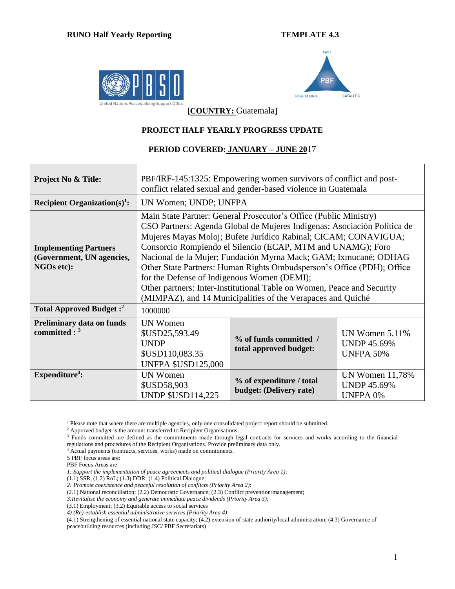



**[COUNTRY:** Guatemala**]**

## **PROJECT HALF YEARLY PROGRESS UPDATE**

## **PERIOD COVERED: JANUARY – JUNE 20**17

| <b>Project No &amp; Title:</b>                                          | PBF/IRF-145:1325: Empowering women survivors of conflict and post-<br>conflict related sexual and gender-based violence in Guatemala                                                                                                                                                                                                                                                                                                                                                                                                                                                                                  |                                                     |                                                                 |  |  |  |  |
|-------------------------------------------------------------------------|-----------------------------------------------------------------------------------------------------------------------------------------------------------------------------------------------------------------------------------------------------------------------------------------------------------------------------------------------------------------------------------------------------------------------------------------------------------------------------------------------------------------------------------------------------------------------------------------------------------------------|-----------------------------------------------------|-----------------------------------------------------------------|--|--|--|--|
| Recipient Organization(s) <sup>1</sup> :                                | UN Women; UNDP; UNFPA                                                                                                                                                                                                                                                                                                                                                                                                                                                                                                                                                                                                 |                                                     |                                                                 |  |  |  |  |
| <b>Implementing Partners</b><br>(Government, UN agencies,<br>NGOs etc): | Main State Partner: General Prosecutor's Office (Public Ministry)<br>CSO Partners: Agenda Global de Mujeres Indígenas; Asociación Política de<br>Mujeres Mayas Moloj; Bufete Jurídico Rabinal; CICAM; CONAVIGUA;<br>Consorcio Rompiendo el Silencio (ECAP, MTM and UNAMG); Foro<br>Nacional de la Mujer; Fundación Myrna Mack; GAM; Ixmucané; ODHAG<br>Other State Partners: Human Rights Ombudsperson's Office (PDH); Office<br>for the Defense of Indigenous Women (DEMI);<br>Other partners: Inter-Institutional Table on Women, Peace and Security<br>(MIMPAZ), and 14 Municipalities of the Verapaces and Quiché |                                                     |                                                                 |  |  |  |  |
| Total Approved Budget: <sup>2</sup>                                     | 1000000                                                                                                                                                                                                                                                                                                                                                                                                                                                                                                                                                                                                               |                                                     |                                                                 |  |  |  |  |
| <b>Preliminary data on funds</b><br>committed : $3$                     | <b>UN Women</b><br>\$USD25,593.49<br><b>UNDP</b><br>\$USD110,083.35<br><b>UNFPA \$USD125,000</b>                                                                                                                                                                                                                                                                                                                                                                                                                                                                                                                      | % of funds committed /<br>total approved budget:    | UN Women $5.11\%$<br><b>UNDP 45.69%</b><br><b>UNFPA 50%</b>     |  |  |  |  |
| Expenditure <sup>4</sup> :                                              | <b>UN Women</b><br>\$USD58,903<br><b>UNDP \$USD114,225</b>                                                                                                                                                                                                                                                                                                                                                                                                                                                                                                                                                            | % of expenditure / total<br>budget: (Delivery rate) | <b>UN Women 11,78%</b><br><b>UNDP 45.69%</b><br><b>UNFPA 0%</b> |  |  |  |  |

 $\overline{a}$ <sup>1</sup> Please note that where there are multiple agencies, only one consolidated project report should be submitted.

<sup>&</sup>lt;sup>2</sup> Approved budget is the amount transferred to Recipient Organisations.

<sup>&</sup>lt;sup>3</sup> Funds committed are defined as the commitments made through legal contracts for services and works according to the financial regulations and procedures of the Recipient Organisations. Provide preliminary data only.

<sup>4</sup> Actual payments (contracts, services, works) made on commitments.

<sup>5</sup> PBF focus areas are:

PBF Focus Areas are:

*<sup>1:</sup> Support the implementation of peace agreements and political dialogue (Priority Area 1)*:

 $(1.1)$  SSR,  $(1.2)$  RoL;  $(1.3)$  DDR;  $(1.4)$  Political Dialogue;

*<sup>2:</sup> Promote coexistence and peaceful resolution of conflicts (Priority Area 2)*:

<sup>(2.1)</sup> National reconciliation; (2.2) Democratic Governance; (2.3) Conflict prevention/management;

*<sup>3:</sup>Revitalise the economy and generate immediate peace dividends (Priority Area 3)*;

<sup>(3.1)</sup> Employment; (3.2) Equitable access to social services

*<sup>4)</sup> (Re)-establish essential administrative services (Priority Area 4)*

<sup>(4.1)</sup> Strengthening of essential national state capacity; (4.2) extension of state authority/local administration; (4.3) Governance of peacebuilding resources (including JSC/ PBF Secretariats)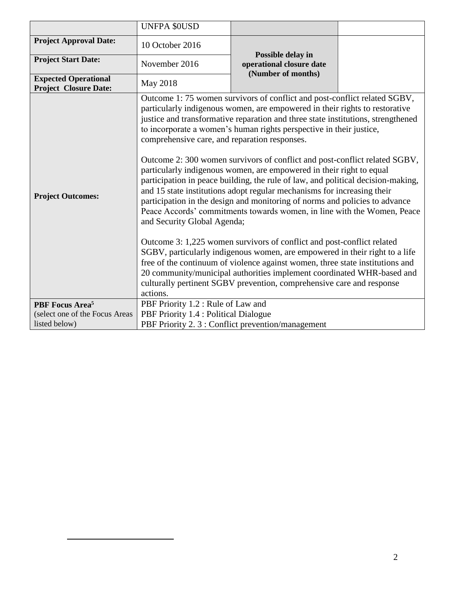|                                                             | <b>UNFPA \$0USD</b>                                                                      |                                                                                                                                                                                                                                                                                                                                                                                                                                                                                                                                                                                                                                                                                                                                                                                                                                                                                                                                                                                                                                                                                                                                                                                                |  |
|-------------------------------------------------------------|------------------------------------------------------------------------------------------|------------------------------------------------------------------------------------------------------------------------------------------------------------------------------------------------------------------------------------------------------------------------------------------------------------------------------------------------------------------------------------------------------------------------------------------------------------------------------------------------------------------------------------------------------------------------------------------------------------------------------------------------------------------------------------------------------------------------------------------------------------------------------------------------------------------------------------------------------------------------------------------------------------------------------------------------------------------------------------------------------------------------------------------------------------------------------------------------------------------------------------------------------------------------------------------------|--|
| <b>Project Approval Date:</b>                               | 10 October 2016                                                                          |                                                                                                                                                                                                                                                                                                                                                                                                                                                                                                                                                                                                                                                                                                                                                                                                                                                                                                                                                                                                                                                                                                                                                                                                |  |
| <b>Project Start Date:</b>                                  | November 2016                                                                            | Possible delay in<br>operational closure date<br>(Number of months)                                                                                                                                                                                                                                                                                                                                                                                                                                                                                                                                                                                                                                                                                                                                                                                                                                                                                                                                                                                                                                                                                                                            |  |
| <b>Expected Operational</b><br><b>Project Closure Date:</b> | <b>May 2018</b>                                                                          |                                                                                                                                                                                                                                                                                                                                                                                                                                                                                                                                                                                                                                                                                                                                                                                                                                                                                                                                                                                                                                                                                                                                                                                                |  |
| <b>Project Outcomes:</b>                                    | comprehensive care, and reparation responses.<br>and Security Global Agenda;<br>actions. | Outcome 1:75 women survivors of conflict and post-conflict related SGBV,<br>particularly indigenous women, are empowered in their rights to restorative<br>justice and transformative reparation and three state institutions, strengthened<br>to incorporate a women's human rights perspective in their justice,<br>Outcome 2: 300 women survivors of conflict and post-conflict related SGBV,<br>particularly indigenous women, are empowered in their right to equal<br>participation in peace building, the rule of law, and political decision-making,<br>and 15 state institutions adopt regular mechanisms for increasing their<br>participation in the design and monitoring of norms and policies to advance<br>Peace Accords' commitments towards women, in line with the Women, Peace<br>Outcome 3: 1,225 women survivors of conflict and post-conflict related<br>SGBV, particularly indigenous women, are empowered in their right to a life<br>free of the continuum of violence against women, three state institutions and<br>20 community/municipal authorities implement coordinated WHR-based and<br>culturally pertinent SGBV prevention, comprehensive care and response |  |
| PBF Focus Area <sup>5</sup>                                 | PBF Priority 1.2 : Rule of Law and                                                       |                                                                                                                                                                                                                                                                                                                                                                                                                                                                                                                                                                                                                                                                                                                                                                                                                                                                                                                                                                                                                                                                                                                                                                                                |  |
| (select one of the Focus Areas                              | PBF Priority 1.4 : Political Dialogue                                                    |                                                                                                                                                                                                                                                                                                                                                                                                                                                                                                                                                                                                                                                                                                                                                                                                                                                                                                                                                                                                                                                                                                                                                                                                |  |
| listed below)                                               |                                                                                          | PBF Priority 2.3 : Conflict prevention/management                                                                                                                                                                                                                                                                                                                                                                                                                                                                                                                                                                                                                                                                                                                                                                                                                                                                                                                                                                                                                                                                                                                                              |  |

 $\overline{a}$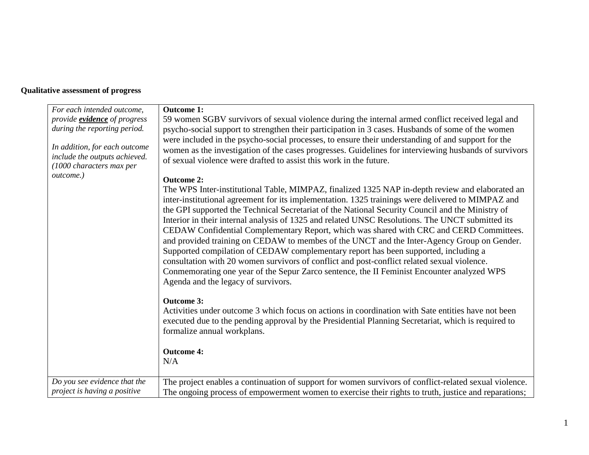## **Qualitative assessment of progress**

| For each intended outcome,                                | <b>Outcome 1:</b>                                                                                                                                                                                                                                                                                                                                                                                                                                                                                                                                                                                                                                                                                                                                                                                                                                                                                                                |
|-----------------------------------------------------------|----------------------------------------------------------------------------------------------------------------------------------------------------------------------------------------------------------------------------------------------------------------------------------------------------------------------------------------------------------------------------------------------------------------------------------------------------------------------------------------------------------------------------------------------------------------------------------------------------------------------------------------------------------------------------------------------------------------------------------------------------------------------------------------------------------------------------------------------------------------------------------------------------------------------------------|
| provide <b>evidence</b> of progress                       | 59 women SGBV survivors of sexual violence during the internal armed conflict received legal and                                                                                                                                                                                                                                                                                                                                                                                                                                                                                                                                                                                                                                                                                                                                                                                                                                 |
| during the reporting period.                              | psycho-social support to strengthen their participation in 3 cases. Husbands of some of the women                                                                                                                                                                                                                                                                                                                                                                                                                                                                                                                                                                                                                                                                                                                                                                                                                                |
|                                                           | were included in the psycho-social processes, to ensure their understanding of and support for the                                                                                                                                                                                                                                                                                                                                                                                                                                                                                                                                                                                                                                                                                                                                                                                                                               |
| In addition, for each outcome                             | women as the investigation of the cases progresses. Guidelines for interviewing husbands of survivors                                                                                                                                                                                                                                                                                                                                                                                                                                                                                                                                                                                                                                                                                                                                                                                                                            |
| include the outputs achieved.<br>(1000 characters max per | of sexual violence were drafted to assist this work in the future.                                                                                                                                                                                                                                                                                                                                                                                                                                                                                                                                                                                                                                                                                                                                                                                                                                                               |
| outcome.)                                                 | <b>Outcome 2:</b>                                                                                                                                                                                                                                                                                                                                                                                                                                                                                                                                                                                                                                                                                                                                                                                                                                                                                                                |
|                                                           | The WPS Inter-institutional Table, MIMPAZ, finalized 1325 NAP in-depth review and elaborated an<br>inter-institutional agreement for its implementation. 1325 trainings were delivered to MIMPAZ and<br>the GPI supported the Technical Secretariat of the National Security Council and the Ministry of<br>Interior in their internal analysis of 1325 and related UNSC Resolutions. The UNCT submitted its<br>CEDAW Confidential Complementary Report, which was shared with CRC and CERD Committees.<br>and provided training on CEDAW to membes of the UNCT and the Inter-Agency Group on Gender.<br>Supported compilation of CEDAW complementary report has been supported, including a<br>consultation with 20 women survivors of conflict and post-conflict related sexual violence.<br>Conmemorating one year of the Sepur Zarco sentence, the II Feminist Encounter analyzed WPS<br>Agenda and the legacy of survivors. |
|                                                           | <b>Outcome 3:</b>                                                                                                                                                                                                                                                                                                                                                                                                                                                                                                                                                                                                                                                                                                                                                                                                                                                                                                                |
|                                                           | Activities under outcome 3 which focus on actions in coordination with Sate entities have not been                                                                                                                                                                                                                                                                                                                                                                                                                                                                                                                                                                                                                                                                                                                                                                                                                               |
|                                                           | executed due to the pending approval by the Presidential Planning Secretariat, which is required to                                                                                                                                                                                                                                                                                                                                                                                                                                                                                                                                                                                                                                                                                                                                                                                                                              |
|                                                           | formalize annual workplans.                                                                                                                                                                                                                                                                                                                                                                                                                                                                                                                                                                                                                                                                                                                                                                                                                                                                                                      |
|                                                           | <b>Outcome 4:</b>                                                                                                                                                                                                                                                                                                                                                                                                                                                                                                                                                                                                                                                                                                                                                                                                                                                                                                                |
|                                                           | N/A                                                                                                                                                                                                                                                                                                                                                                                                                                                                                                                                                                                                                                                                                                                                                                                                                                                                                                                              |
| Do you see evidence that the                              |                                                                                                                                                                                                                                                                                                                                                                                                                                                                                                                                                                                                                                                                                                                                                                                                                                                                                                                                  |
| project is having a positive                              | The project enables a continuation of support for women survivors of conflict-related sexual violence.<br>The ongoing process of empowerment women to exercise their rights to truth, justice and reparations;                                                                                                                                                                                                                                                                                                                                                                                                                                                                                                                                                                                                                                                                                                                   |
|                                                           |                                                                                                                                                                                                                                                                                                                                                                                                                                                                                                                                                                                                                                                                                                                                                                                                                                                                                                                                  |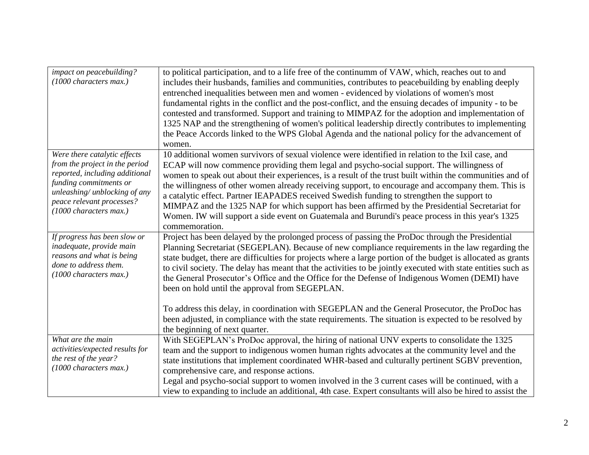| impact on peacebuilding?                            | to political participation, and to a life free of the continumm of VAW, which, reaches out to and                                                                                                               |
|-----------------------------------------------------|-----------------------------------------------------------------------------------------------------------------------------------------------------------------------------------------------------------------|
| (1000 characters max.)                              | includes their husbands, families and communities, contributes to peacebuilding by enabling deeply                                                                                                              |
|                                                     | entrenched inequalities between men and women - evidenced by violations of women's most                                                                                                                         |
|                                                     | fundamental rights in the conflict and the post-conflict, and the ensuing decades of impunity - to be                                                                                                           |
|                                                     | contested and transformed. Support and training to MIMPAZ for the adoption and implementation of                                                                                                                |
|                                                     | 1325 NAP and the strengthening of women's political leadership directly contributes to implementing                                                                                                             |
|                                                     | the Peace Accords linked to the WPS Global Agenda and the national policy for the advancement of                                                                                                                |
|                                                     | women.                                                                                                                                                                                                          |
| Were there catalytic effects                        | 10 additional women survivors of sexual violence were identified in relation to the Ixil case, and                                                                                                              |
| from the project in the period                      | ECAP will now commence providing them legal and psycho-social support. The willingness of                                                                                                                       |
| reported, including additional                      | women to speak out about their experiences, is a result of the trust built within the communities and of                                                                                                        |
| funding commitments or                              | the willingness of other women already receiving support, to encourage and accompany them. This is                                                                                                              |
| unleashing/ unblocking of any                       | a catalytic effect. Partner IEAPADES received Swedish funding to strengthen the support to                                                                                                                      |
| peace relevant processes?<br>(1000 characters max.) | MIMPAZ and the 1325 NAP for which support has been affirmed by the Presidential Secretariat for                                                                                                                 |
|                                                     | Women. IW will support a side event on Guatemala and Burundi's peace process in this year's 1325                                                                                                                |
|                                                     | commemoration.                                                                                                                                                                                                  |
|                                                     |                                                                                                                                                                                                                 |
| If progress has been slow or                        | Project has been delayed by the prolonged process of passing the ProDoc through the Presidential                                                                                                                |
| inadequate, provide main                            | Planning Secretariat (SEGEPLAN). Because of new compliance requirements in the law regarding the                                                                                                                |
| reasons and what is being                           | state budget, there are difficulties for projects where a large portion of the budget is allocated as grants                                                                                                    |
| done to address them.                               | to civil society. The delay has meant that the activities to be jointly executed with state entities such as                                                                                                    |
| (1000 characters max.)                              | the General Prosecutor's Office and the Office for the Defense of Indigenous Women (DEMI) have                                                                                                                  |
|                                                     | been on hold until the approval from SEGEPLAN.                                                                                                                                                                  |
|                                                     |                                                                                                                                                                                                                 |
|                                                     | To address this delay, in coordination with SEGEPLAN and the General Prosecutor, the ProDoc has                                                                                                                 |
|                                                     | been adjusted, in compliance with the state requirements. The situation is expected to be resolved by                                                                                                           |
|                                                     | the beginning of next quarter.                                                                                                                                                                                  |
| What are the main                                   | With SEGEPLAN's ProDoc approval, the hiring of national UNV experts to consolidate the 1325                                                                                                                     |
| activities/expected results for                     | team and the support to indigenous women human rights advocates at the community level and the                                                                                                                  |
| the rest of the year?                               | state institutions that implement coordinated WHR-based and culturally pertinent SGBV prevention,                                                                                                               |
| (1000 characters max.)                              | comprehensive care, and response actions.                                                                                                                                                                       |
|                                                     | Legal and psycho-social support to women involved in the 3 current cases will be continued, with a<br>view to expanding to include an additional, 4th case. Expert consultants will also be hired to assist the |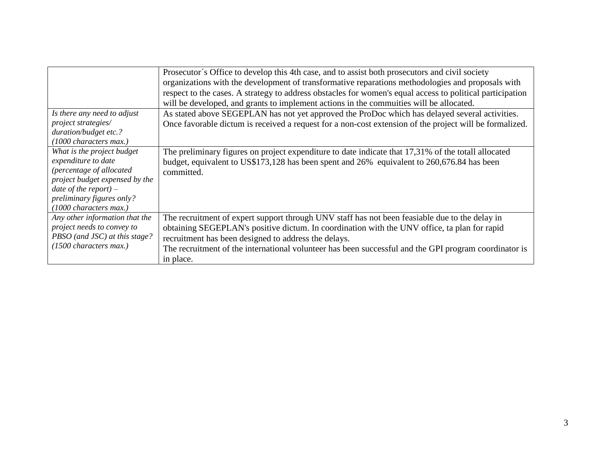|                                | Prosecutor's Office to develop this 4th case, and to assist both prosecutors and civil society            |
|--------------------------------|-----------------------------------------------------------------------------------------------------------|
|                                |                                                                                                           |
|                                | organizations with the development of transformative reparations methodologies and proposals with         |
|                                | respect to the cases. A strategy to address obstacles for women's equal access to political participation |
|                                | will be developed, and grants to implement actions in the commuties will be allocated.                    |
| Is there any need to adjust    | As stated above SEGEPLAN has not yet approved the ProDoc which has delayed several activities.            |
| project strategies/            | Once favorable dictum is received a request for a non-cost extension of the project will be formalized.   |
| duration/budget etc.?          |                                                                                                           |
| (1000 characters max.)         |                                                                                                           |
| What is the project budget     | The preliminary figures on project expenditure to date indicate that 17,31% of the totall allocated       |
| expenditure to date            | budget, equivalent to US\$173,128 has been spent and 26% equivalent to 260,676.84 has been                |
| (percentage of allocated       | committed.                                                                                                |
| project budget expensed by the |                                                                                                           |
| date of the report) $-$        |                                                                                                           |
| preliminary figures only?      |                                                                                                           |
| (1000 characters max.)         |                                                                                                           |
| Any other information that the | The recruitment of expert support through UNV staff has not been feasiable due to the delay in            |
| project needs to convey to     | obtaining SEGEPLAN's positive dictum. In coordination with the UNV office, ta plan for rapid              |
| PBSO (and JSC) at this stage?  | recruitment has been designed to address the delays.                                                      |
| (1500 characters max.)         | The recruitment of the international volunteer has been successful and the GPI program coordinator is     |
|                                | in place.                                                                                                 |
|                                |                                                                                                           |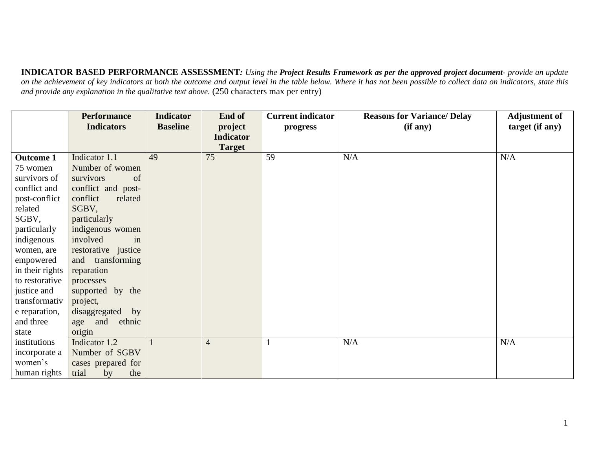**INDICATOR BASED PERFORMANCE ASSESSMENT***: Using the Project Results Framework as per the approved project document- provide an update*  on the achievement of key indicators at both the outcome and output level in the table below. Where it has not been possible to collect data on indicators, state this *and provide any explanation in the qualitative text above.* (250 characters max per entry)

|                  | <b>Performance</b>  | <b>Indicator</b> | <b>End of</b>    | <b>Current indicator</b> | <b>Reasons for Variance/ Delay</b> | <b>Adjustment of</b> |
|------------------|---------------------|------------------|------------------|--------------------------|------------------------------------|----------------------|
|                  | <b>Indicators</b>   | <b>Baseline</b>  | project          | progress                 | (if any)                           | target (if any)      |
|                  |                     |                  | <b>Indicator</b> |                          |                                    |                      |
|                  |                     |                  | <b>Target</b>    |                          |                                    |                      |
| <b>Outcome 1</b> | Indicator 1.1       | 49               | 75               | 59                       | N/A                                | N/A                  |
| 75 women         | Number of women     |                  |                  |                          |                                    |                      |
| survivors of     | of<br>survivors     |                  |                  |                          |                                    |                      |
| conflict and     | conflict and post-  |                  |                  |                          |                                    |                      |
| post-conflict    | conflict<br>related |                  |                  |                          |                                    |                      |
| related          | SGBV,               |                  |                  |                          |                                    |                      |
| SGBV,            | particularly        |                  |                  |                          |                                    |                      |
| particularly     | indigenous women    |                  |                  |                          |                                    |                      |
| indigenous       | involved<br>in      |                  |                  |                          |                                    |                      |
| women, are       | restorative justice |                  |                  |                          |                                    |                      |
| empowered        | and transforming    |                  |                  |                          |                                    |                      |
| in their rights  | reparation          |                  |                  |                          |                                    |                      |
| to restorative   | processes           |                  |                  |                          |                                    |                      |
| justice and      | supported by the    |                  |                  |                          |                                    |                      |
| transformativ    | project,            |                  |                  |                          |                                    |                      |
| e reparation,    | disaggregated by    |                  |                  |                          |                                    |                      |
| and three        | age and ethnic      |                  |                  |                          |                                    |                      |
| state            | origin              |                  |                  |                          |                                    |                      |
| institutions     | Indicator 1.2       |                  | $\overline{4}$   |                          | N/A                                | N/A                  |
| incorporate a    | Number of SGBV      |                  |                  |                          |                                    |                      |
| women's          | cases prepared for  |                  |                  |                          |                                    |                      |
| human rights     | trial<br>by<br>the  |                  |                  |                          |                                    |                      |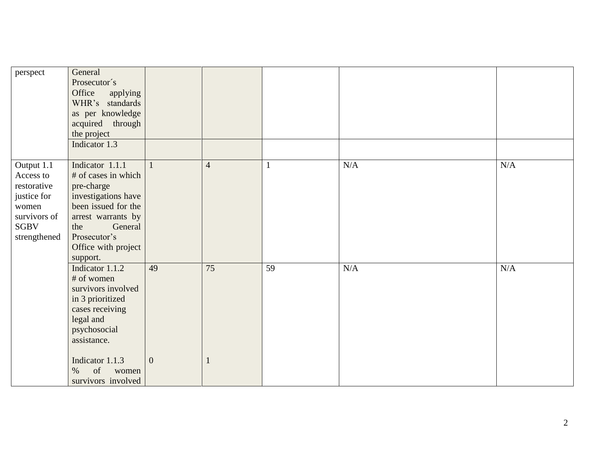| perspect                                                                                                      | General<br>Prosecutor's<br>Office<br>applying<br>WHR's standards<br>as per knowledge<br>acquired through<br>the project<br>Indicator 1.3                                                               |                      |                 |                 |           |           |
|---------------------------------------------------------------------------------------------------------------|--------------------------------------------------------------------------------------------------------------------------------------------------------------------------------------------------------|----------------------|-----------------|-----------------|-----------|-----------|
| Output 1.1<br>Access to<br>restorative<br>justice for<br>women<br>survivors of<br><b>SGBV</b><br>strengthened | Indicator 1.1.1<br># of cases in which<br>pre-charge<br>investigations have<br>been issued for the<br>arrest warrants by<br>General<br>the<br>Prosecutor's<br>Office with project<br>support.          | $\mathbf{1}$         | $\overline{4}$  |                 | $\rm N/A$ | $\rm N/A$ |
|                                                                                                               | Indicator 1.1.2<br># of women<br>survivors involved<br>in 3 prioritized<br>cases receiving<br>legal and<br>psychosocial<br>assistance.<br>Indicator 1.1.3<br>of<br>$\%$<br>women<br>survivors involved | 49<br>$\overline{0}$ | $\overline{75}$ | $\overline{59}$ | $\rm N/A$ | $\rm N/A$ |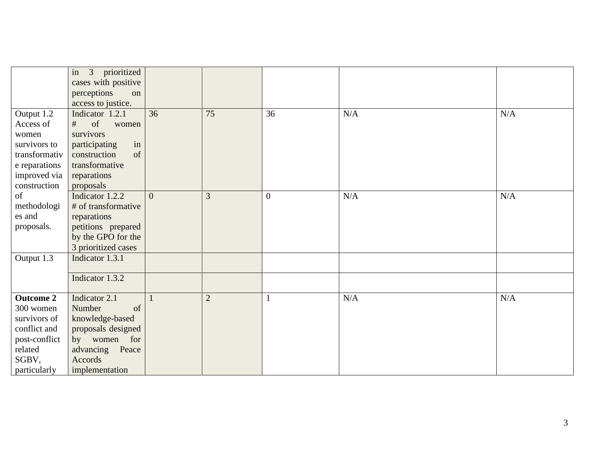|                  | in 3 prioritized<br>cases with positive |                |                |                  |           |     |
|------------------|-----------------------------------------|----------------|----------------|------------------|-----------|-----|
|                  | perceptions<br>on                       |                |                |                  |           |     |
|                  | access to justice.                      |                | 75             |                  |           |     |
| Output 1.2       | Indicator 1.2.1                         | 36             |                | 36               | N/A       | N/A |
| Access of        | of<br>#<br>women                        |                |                |                  |           |     |
| women            | survivors                               |                |                |                  |           |     |
| survivors to     | in<br>participating                     |                |                |                  |           |     |
| transformativ    | construction<br>of                      |                |                |                  |           |     |
| e reparations    | transformative                          |                |                |                  |           |     |
| improved via     | reparations                             |                |                |                  |           |     |
| construction     | proposals                               |                |                |                  |           |     |
| of               | Indicator 1.2.2                         | $\overline{0}$ | 3              | $\boldsymbol{0}$ | $\rm N/A$ | N/A |
| methodologi      | # of transformative                     |                |                |                  |           |     |
| es and           | reparations                             |                |                |                  |           |     |
| proposals.       | petitions prepared                      |                |                |                  |           |     |
|                  | by the GPO for the                      |                |                |                  |           |     |
|                  | 3 prioritized cases                     |                |                |                  |           |     |
| Output 1.3       | Indicator 1.3.1                         |                |                |                  |           |     |
|                  | Indicator 1.3.2                         |                |                |                  |           |     |
| <b>Outcome 2</b> | Indicator 2.1                           |                | $\overline{2}$ |                  | N/A       | N/A |
| 300 women        | Number<br>of                            |                |                |                  |           |     |
| survivors of     | knowledge-based                         |                |                |                  |           |     |
| conflict and     | proposals designed                      |                |                |                  |           |     |
| post-conflict    | for<br>by women                         |                |                |                  |           |     |
| related          | advancing Peace                         |                |                |                  |           |     |
| SGBV,            | Accords                                 |                |                |                  |           |     |
| particularly     | implementation                          |                |                |                  |           |     |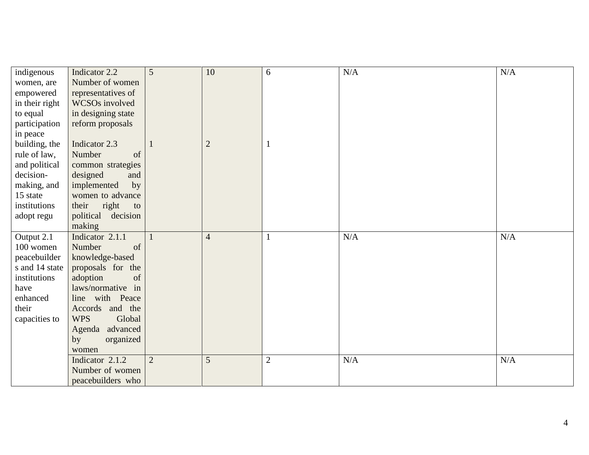| indigenous     | Indicator 2.2        | 5              | 10             | 6              | $\rm N/A$ | N/A |
|----------------|----------------------|----------------|----------------|----------------|-----------|-----|
| women, are     | Number of women      |                |                |                |           |     |
| empowered      | representatives of   |                |                |                |           |     |
| in their right | WCSOs involved       |                |                |                |           |     |
| to equal       | in designing state   |                |                |                |           |     |
| participation  | reform proposals     |                |                |                |           |     |
| in peace       |                      |                |                |                |           |     |
| building, the  | Indicator 2.3        |                | $\overline{2}$ |                |           |     |
| rule of law,   | Number<br>of         |                |                |                |           |     |
| and political  | common strategies    |                |                |                |           |     |
| decision-      | designed<br>and      |                |                |                |           |     |
| making, and    | by<br>implemented    |                |                |                |           |     |
| 15 state       | women to advance     |                |                |                |           |     |
| institutions   | their<br>right<br>to |                |                |                |           |     |
| adopt regu     | political decision   |                |                |                |           |     |
|                | making               |                |                |                |           |     |
| Output 2.1     | Indicator 2.1.1      | $\mathbf{1}$   | $\overline{4}$ |                | $\rm N/A$ | N/A |
| 100 women      | Number<br>of         |                |                |                |           |     |
| peacebuilder   | knowledge-based      |                |                |                |           |     |
| s and 14 state | proposals for the    |                |                |                |           |     |
| institutions   | adoption<br>of       |                |                |                |           |     |
| have           | laws/normative in    |                |                |                |           |     |
| enhanced       | line with Peace      |                |                |                |           |     |
| their          | Accords and the      |                |                |                |           |     |
| capacities to  | <b>WPS</b><br>Global |                |                |                |           |     |
|                | Agenda advanced      |                |                |                |           |     |
|                | organized<br>by      |                |                |                |           |     |
|                | women                |                |                |                |           |     |
|                | Indicator 2.1.2      | $\overline{2}$ | 5              | $\overline{c}$ | N/A       | N/A |
|                | Number of women      |                |                |                |           |     |
|                | peacebuilders who    |                |                |                |           |     |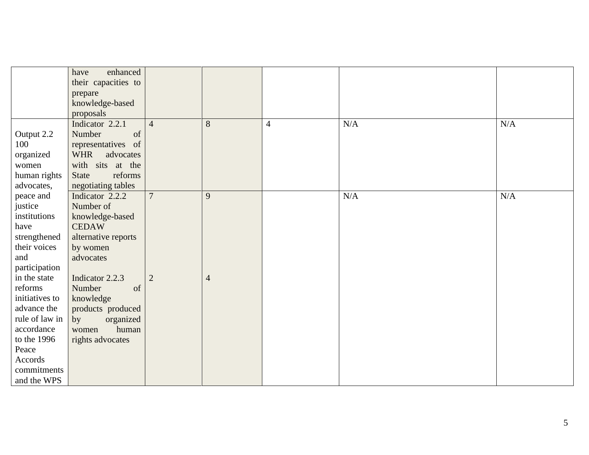|                | enhanced<br>have        |                |                |                |           |           |
|----------------|-------------------------|----------------|----------------|----------------|-----------|-----------|
|                | their capacities to     |                |                |                |           |           |
|                | prepare                 |                |                |                |           |           |
|                | knowledge-based         |                |                |                |           |           |
|                | proposals               |                |                |                |           |           |
|                | Indicator 2.2.1         | $\overline{4}$ | 8              | $\overline{4}$ | N/A       | N/A       |
| Output 2.2     | of<br>Number            |                |                |                |           |           |
| 100            | representatives of      |                |                |                |           |           |
| organized      | <b>WHR</b><br>advocates |                |                |                |           |           |
| women          | with sits at the        |                |                |                |           |           |
| human rights   | reforms<br><b>State</b> |                |                |                |           |           |
| advocates,     | negotiating tables      |                |                |                |           |           |
| peace and      | Indicator 2.2.2         | $\overline{7}$ | 9              |                | $\rm N/A$ | $\rm N/A$ |
| justice        | Number of               |                |                |                |           |           |
| institutions   | knowledge-based         |                |                |                |           |           |
| have           | <b>CEDAW</b>            |                |                |                |           |           |
| strengthened   | alternative reports     |                |                |                |           |           |
| their voices   | by women                |                |                |                |           |           |
| and            | advocates               |                |                |                |           |           |
| participation  |                         |                |                |                |           |           |
| in the state   | Indicator 2.2.3         | $\overline{2}$ | $\overline{4}$ |                |           |           |
| reforms        | Number<br>of            |                |                |                |           |           |
| initiatives to | knowledge               |                |                |                |           |           |
| advance the    | products produced       |                |                |                |           |           |
| rule of law in | organized<br>by         |                |                |                |           |           |
| accordance     | human<br>women          |                |                |                |           |           |
| to the 1996    | rights advocates        |                |                |                |           |           |
| Peace          |                         |                |                |                |           |           |
| Accords        |                         |                |                |                |           |           |
| commitments    |                         |                |                |                |           |           |
| and the WPS    |                         |                |                |                |           |           |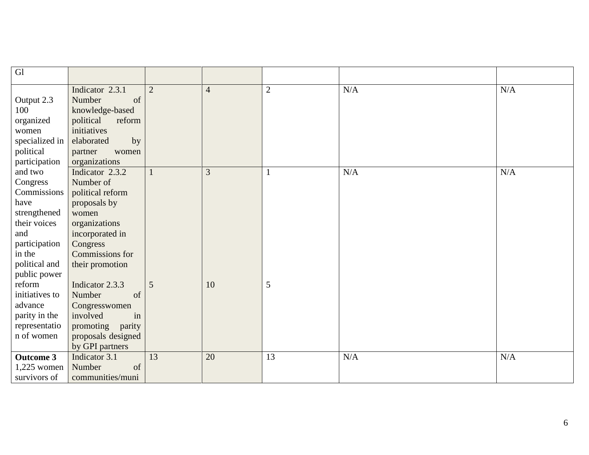| Gl               |                     |                |                |                |     |     |
|------------------|---------------------|----------------|----------------|----------------|-----|-----|
|                  | Indicator 2.3.1     | $\overline{2}$ | $\overline{4}$ | $\overline{c}$ | N/A | N/A |
| Output 2.3       | Number<br>of        |                |                |                |     |     |
| 100              | knowledge-based     |                |                |                |     |     |
| organized        | political<br>reform |                |                |                |     |     |
| women            | initiatives         |                |                |                |     |     |
| specialized in   | elaborated<br>by    |                |                |                |     |     |
| political        | partner<br>women    |                |                |                |     |     |
| participation    | organizations       |                |                |                |     |     |
| and two          | Indicator 2.3.2     | $\mathbf{1}$   | 3              |                | N/A | N/A |
| Congress         | Number of           |                |                |                |     |     |
| Commissions      | political reform    |                |                |                |     |     |
| have             | proposals by        |                |                |                |     |     |
| strengthened     | women               |                |                |                |     |     |
| their voices     | organizations       |                |                |                |     |     |
| and              | incorporated in     |                |                |                |     |     |
| participation    | Congress            |                |                |                |     |     |
| in the           | Commissions for     |                |                |                |     |     |
| political and    | their promotion     |                |                |                |     |     |
| public power     |                     |                |                |                |     |     |
| reform           | Indicator 2.3.3     | 5              | 10             | 5              |     |     |
| initiatives to   | of<br>Number        |                |                |                |     |     |
| advance          | Congresswomen       |                |                |                |     |     |
| parity in the    | involved<br>in      |                |                |                |     |     |
| representatio    | promoting<br>parity |                |                |                |     |     |
| n of women       | proposals designed  |                |                |                |     |     |
|                  | by GPI partners     |                |                |                |     |     |
| <b>Outcome 3</b> | Indicator 3.1       | 13             | 20             | 13             | N/A | N/A |
| $1,225$ women    | Number<br>of        |                |                |                |     |     |
| survivors of     | communities/muni    |                |                |                |     |     |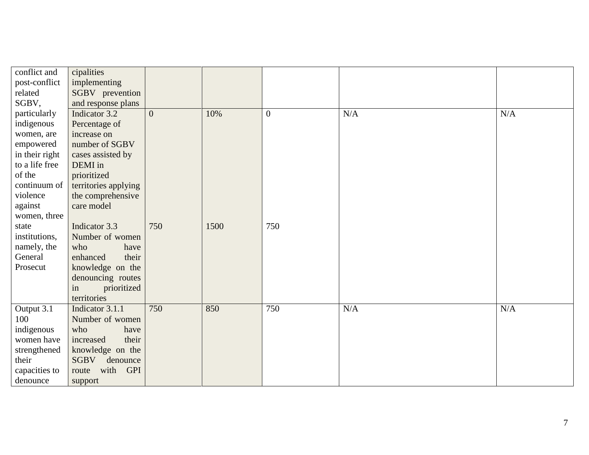| conflict and<br>post-conflict<br>related | cipalities<br>implementing<br>SGBV prevention |                |      |                  |     |     |
|------------------------------------------|-----------------------------------------------|----------------|------|------------------|-----|-----|
| SGBV,                                    | and response plans                            |                |      |                  |     |     |
| particularly                             | Indicator 3.2                                 | $\overline{0}$ | 10%  | $\boldsymbol{0}$ | N/A | N/A |
| indigenous                               | Percentage of                                 |                |      |                  |     |     |
| women, are                               | increase on                                   |                |      |                  |     |     |
| empowered                                | number of SGBV                                |                |      |                  |     |     |
| in their right                           | cases assisted by                             |                |      |                  |     |     |
| to a life free                           | DEMI in                                       |                |      |                  |     |     |
| of the                                   | prioritized                                   |                |      |                  |     |     |
| continuum of                             | territories applying                          |                |      |                  |     |     |
| violence                                 | the comprehensive                             |                |      |                  |     |     |
| against                                  | care model                                    |                |      |                  |     |     |
| women, three                             |                                               |                |      |                  |     |     |
| state                                    | Indicator 3.3                                 | 750            | 1500 | 750              |     |     |
| institutions,                            | Number of women                               |                |      |                  |     |     |
| namely, the                              | who<br>have                                   |                |      |                  |     |     |
| General                                  | enhanced<br>their                             |                |      |                  |     |     |
| Prosecut                                 | knowledge on the                              |                |      |                  |     |     |
|                                          | denouncing routes                             |                |      |                  |     |     |
|                                          | prioritized<br>in                             |                |      |                  |     |     |
|                                          | territories                                   |                |      |                  |     |     |
| Output 3.1                               | Indicator 3.1.1                               | 750            | 850  | 750              | N/A | N/A |
| 100                                      | Number of women                               |                |      |                  |     |     |
| indigenous                               | who<br>have                                   |                |      |                  |     |     |
| women have                               | their<br>increased                            |                |      |                  |     |     |
| strengthened                             | knowledge on the                              |                |      |                  |     |     |
| their                                    | SGBV<br>denounce                              |                |      |                  |     |     |
| capacities to                            | with GPI<br>route                             |                |      |                  |     |     |
| denounce                                 | support                                       |                |      |                  |     |     |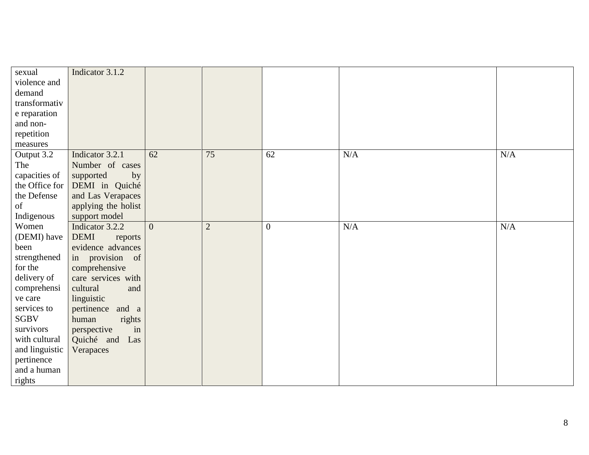| sexual         | Indicator 3.1.2        |                |                |                  |     |     |
|----------------|------------------------|----------------|----------------|------------------|-----|-----|
| violence and   |                        |                |                |                  |     |     |
| demand         |                        |                |                |                  |     |     |
| transformativ  |                        |                |                |                  |     |     |
| e reparation   |                        |                |                |                  |     |     |
| and non-       |                        |                |                |                  |     |     |
| repetition     |                        |                |                |                  |     |     |
| measures       |                        |                |                |                  |     |     |
| Output 3.2     | Indicator 3.2.1        | 62             | 75             | 62               | N/A | N/A |
| The            | Number of cases        |                |                |                  |     |     |
| capacities of  | supported<br>by        |                |                |                  |     |     |
| the Office for | DEMI in Quiché         |                |                |                  |     |     |
| the Defense    | and Las Verapaces      |                |                |                  |     |     |
| of             | applying the holist    |                |                |                  |     |     |
| Indigenous     | support model          |                |                |                  |     |     |
| Women          | Indicator 3.2.2        | $\overline{0}$ | $\overline{2}$ | $\boldsymbol{0}$ | N/A | N/A |
| (DEMI) have    | <b>DEMI</b><br>reports |                |                |                  |     |     |
| been           | evidence advances      |                |                |                  |     |     |
| strengthened   | in provision of        |                |                |                  |     |     |
| for the        | comprehensive          |                |                |                  |     |     |
| delivery of    | care services with     |                |                |                  |     |     |
| comprehensi    | cultural<br>and        |                |                |                  |     |     |
| ve care        | linguistic             |                |                |                  |     |     |
| services to    | pertinence<br>and a    |                |                |                  |     |     |
| <b>SGBV</b>    | rights<br>human        |                |                |                  |     |     |
| survivors      | perspective<br>in      |                |                |                  |     |     |
| with cultural  | Quiché and<br>Las      |                |                |                  |     |     |
| and linguistic | Verapaces              |                |                |                  |     |     |
| pertinence     |                        |                |                |                  |     |     |
| and a human    |                        |                |                |                  |     |     |
| rights         |                        |                |                |                  |     |     |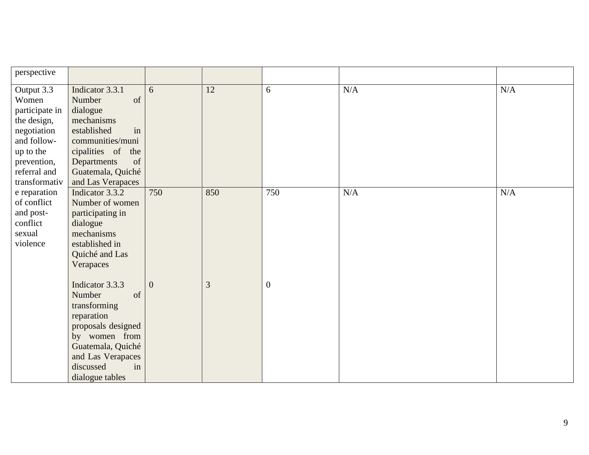| perspective                                                                                                                                     |                                                                                                                                                                                           |          |     |                  |     |           |
|-------------------------------------------------------------------------------------------------------------------------------------------------|-------------------------------------------------------------------------------------------------------------------------------------------------------------------------------------------|----------|-----|------------------|-----|-----------|
| Output 3.3<br>Women<br>participate in<br>the design,<br>negotiation<br>and follow-<br>up to the<br>prevention,<br>referral and<br>transformativ | Indicator 3.3.1<br>of<br>Number<br>dialogue<br>mechanisms<br>in<br>established<br>communities/muni<br>cipalities of<br>the<br>of<br>Departments<br>Guatemala, Quiché<br>and Las Verapaces | 6        | 12  | 6                | N/A | $\rm N/A$ |
| e reparation<br>of conflict<br>and post-<br>conflict<br>sexual<br>violence                                                                      | Indicator 3.3.2<br>Number of women<br>participating in<br>dialogue<br>mechanisms<br>established in<br>Quiché and Las<br>Verapaces                                                         | 750      | 850 | 750              | N/A | $\rm N/A$ |
|                                                                                                                                                 | Indicator 3.3.3<br>Number<br>of<br>transforming<br>reparation<br>proposals designed<br>by women from<br>Guatemala, Quiché<br>and Las Verapaces<br>discussed<br>in<br>dialogue tables      | $\theta$ | 3   | $\boldsymbol{0}$ |     |           |